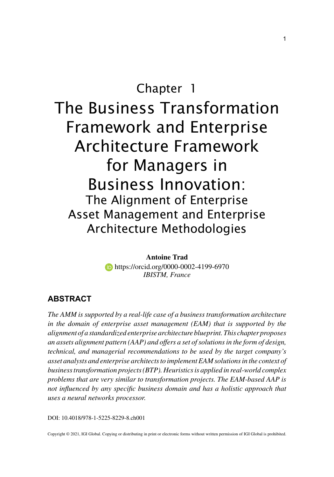# Chapter 1 The Business Transformation Framework and Enterprise Architecture Framework for Managers in Business Innovation: The Alignment of Enterprise Asset Management and Enterprise Architecture Methodologies

**Antoine Trad https://orcid.org/0000-0002-4199-6970** *IBISTM, France*

### **ABSTRACT**

*The AMM is supported by a real-life case of a business transformation architecture in the domain of enterprise asset management (EAM) that is supported by the alignment of a standardized enterprise architecture blueprint. This chapter proposes an assets alignment pattern (AAP) and offers a set of solutions in the form of design, technical, and managerial recommendations to be used by the target company's asset analysts and enterprise architects to implement EAM solutions in the context of business transformation projects (BTP). Heuristics is applied in real-world complex problems that are very similar to transformation projects. The EAM-based AAP is not influenced by any specific business domain and has a holistic approach that uses a neural networks processor.*

DOI: 10.4018/978-1-5225-8229-8.ch001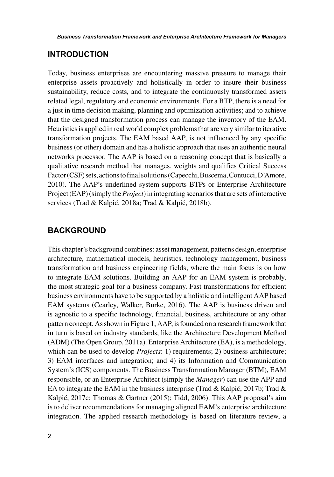## **INTRODUCTION**

Today, business enterprises are encountering massive pressure to manage their enterprise assets proactively and holistically in order to insure their business sustainability, reduce costs, and to integrate the continuously transformed assets related legal, regulatory and economic environments. For a BTP, there is a need for a just in time decision making, planning and optimization activities; and to achieve that the designed transformation process can manage the inventory of the EAM. Heuristics is applied in real world complex problems that are very similar to iterative transformation projects. The EAM based AAP, is not influenced by any specific business (or other) domain and has a holistic approach that uses an authentic neural networks processor. The AAP is based on a reasoning concept that is basically a qualitative research method that manages, weights and qualifies Critical Success Factor (CSF) sets, actions to final solutions (Capecchi, Buscema, Contucci, D'Amore, 2010). The AAP's underlined system supports BTPs or Enterprise Architecture Project (EAP) (simply the *Project*) in integrating scenarios that are sets of interactive services (Trad & Kalpić, 2018a; Trad & Kalpić, 2018b).

#### **BACKGROUND**

This chapter's background combines: asset management, patterns design, enterprise architecture, mathematical models, heuristics, technology management, business transformation and business engineering fields; where the main focus is on how to integrate EAM solutions. Building an AAP for an EAM system is probably, the most strategic goal for a business company. Fast transformations for efficient business environments have to be supported by a holistic and intelligent AAP based EAM systems (Cearley, Walker, Burke, 2016). The AAP is business driven and is agnostic to a specific technology, financial, business, architecture or any other pattern concept. As shown in Figure 1, AAP, is founded on a research framework that in turn is based on industry standards, like the Architecture Development Method (ADM) (The Open Group, 2011a). Enterprise Architecture (EA), is a methodology, which can be used to develop *Projects*: 1) requirements; 2) business architecture; 3) EAM interfaces and integration; and 4) its Information and Communication System's (ICS) components. The Business Transformation Manager (BTM), EAM responsible, or an Enterprise Architect (simply the *Manager*) can use the APP and EA to integrate the EAM in the business interprise (Trad & Kalpić, 2017b; Trad  $\&$ Kalpić, 2017c; Thomas & Gartner (2015); Tidd, 2006). This AAP proposal's aim is to deliver recommendations for managing aligned EAM's enterprise architecture integration. The applied research methodology is based on literature review, a